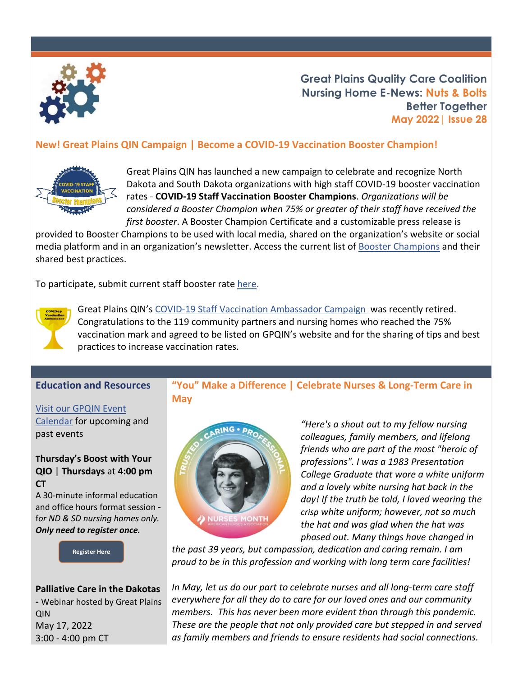

**Great Plains Quality Care Coalition Nursing Home E-News: Nuts & Bolts Better Together May 2022| Issue 28**

#### **New! Great Plains QIN Campaign | Become a COVID-19 Vaccination Booster Champion!**



Great Plains QIN has launched a new campaign to celebrate and recognize North Dakota and South Dakota organizations with high staff COVID-19 booster vaccination rates - **COVID-19 Staff Vaccination Booster Champions**. *Organizations will be considered a Booster Champion when 75% or greater of their staff have received the first booster*. A Booster Champion Certificate and a customizable press release is

provided to Booster Champions to be used with local media, shared on the organization's website or social media platform and in an organization's newsletter. Access the current list o[f Booster Champions](https://greatplainsqin.org/initiatives/nursing-home-quality/covid-19-staff-booster-vaccination-champions/) and their shared best practices.

To participate, submit current staff booster rate [here.](https://gpqin.wufoo.com/forms/mcb3ufy1ultcc5/)



Great Plains QIN's [COVID-19 Staff Vaccination Ambassador Campaign](https://greatplainsqin.org/initiatives/vaccinations/covid-19-staff-vaccination-ambassadors/) was recently retired. Congratulations to the 119 community partners and nursing homes who reached the 75% vaccination mark and agreed to be listed on GPQIN's website and for the sharing of tips and best practices to increase vaccination rates.

#### **Education and Resources**

[Visit our GPQIN Event](https://greatplainsqin.org/calendar-2/) 

[Calendar](https://greatplainsqin.org/calendar-2/) for upcoming and past events

#### **Thursday's Boost with Your QIO** | **Thursdays** at **4:00 pm CT**

A 30-minute informal education and office hours format session  f*or ND & SD nursing homes only. Only need to register once.* 

**[Register Here](https://gpqin.wufoo.com/forms/thursdays-boost-with-your-qio/)**

#### **Palliative Care in the Dakotas -** Webinar hosted by Great Plains QIN May 17, 2022 3:00 - 4:00 pm CT

#### **"You" Make a Difference | Celebrate Nurses & Long-Term Care in May**



*"Here's a shout out to my fellow nursing colleagues, family members, and lifelong friends who are part of the most "heroic of professions". I was a 1983 Presentation College Graduate that wore a white uniform and a lovely white nursing hat back in the day! If the truth be told, I loved wearing the crisp white uniform; however, not so much the hat and was glad when the hat was phased out. Many things have changed in* 

*the past 39 years, but compassion, dedication and caring remain. I am proud to be in this profession and working with long term care facilities!*

*In May, let us do our part to celebrate nurses and all long-term care staff everywhere for all they do to care for our loved ones and our community members. This has never been more evident than through this pandemic. These are the people that not only provided care but stepped in and served as family members and friends to ensure residents had social connections.*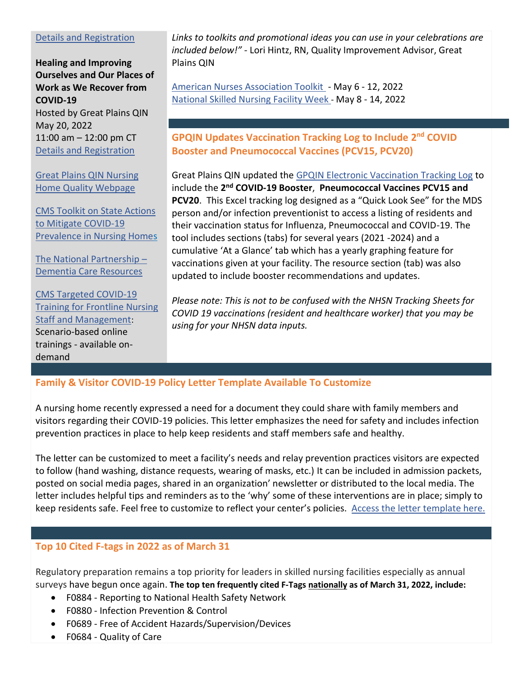#### [Details and Registration](https://greatplainsqin.org/calendar/palliative-care-in-the-dakotas/)

**Healing and Improving Ourselves and Our Places of Work as We Recover from COVID-19**  Hosted by Great Plains QIN May 20, 2022 11:00 am – 12:00 pm CT [Details and Registration](https://attendee.gotowebinar.com/register/7185572792630513423)

[Great Plains QIN Nursing](https://greatplainsqin.org/initiatives/nursing-home-quality/)  [Home Quality Webpage](https://greatplainsqin.org/initiatives/nursing-home-quality/)

[CMS Toolkit on State Actions](https://www.cms.gov/files/document/covid-toolkit-states-mitigate-covid-19-nursing-homes.pdf)  [to Mitigate COVID-19](https://www.cms.gov/files/document/covid-toolkit-states-mitigate-covid-19-nursing-homes.pdf)  [Prevalence in Nursing Homes](https://www.cms.gov/files/document/covid-toolkit-states-mitigate-covid-19-nursing-homes.pdf)

[The National Partnership](https://www.cms.gov/Medicare/Provider-Enrollment-and-Certification/SurveyCertificationGenInfo/National-Partnership-Dementia-Care-Resources) – [Dementia Care Resources](https://www.cms.gov/Medicare/Provider-Enrollment-and-Certification/SurveyCertificationGenInfo/National-Partnership-Dementia-Care-Resources) 

CMS [Targeted COVID-19](https://qioprogram.org/cms-targeted-covid-19-training-frontline-nursing-home-staff-and-management)  [Training for Frontline Nursing](https://qioprogram.org/cms-targeted-covid-19-training-frontline-nursing-home-staff-and-management)  [Staff and Management](https://qioprogram.org/cms-targeted-covid-19-training-frontline-nursing-home-staff-and-management): Scenario-based online trainings - available ondemand

*Links to toolkits and promotional ideas you can use in your celebrations are included below!" -* Lori Hintz, RN, Quality Improvement Advisor, Great Plains QIN

[American Nurses Association Toolkit](https://nursesmonth.org/2022-nurses-month-toolkit/?submissionGuid=5b0e6342-e122-4d6c-8047-24957103357a) - May 6 - 12, 2022 [National Skilled Nursing Facility Week](https://www.ahcancal.org/Education-Events/Pages/NSNCW.aspx?msclkid=65e57672c67e11ecb1227a678ad195b9) - May 8 - 14, 2022

**GPQIN Updates Vaccination Tracking Log to Include 2<sup>nd</sup> COVID Booster and Pneumococcal Vaccines (PCV15, PCV20)**

Great Plains QIN updated the [GPQIN Electronic Vaccination Tracking Log](https://greatplainsqin.org/wp-content/uploads/2021/03/GPQIN-Electronic-Vaccination-Log-Updated-Dec-2021-FINAL.xlsx) to include the 2<sup>nd</sup> COVID-19 Booster, Pneumococcal Vaccines PCV15 and **PCV20**. This Excel tracking log designed as a "Quick Look See" for the MDS person and/or infection preventionist to access a listing of residents and their vaccination status for Influenza, Pneumococcal and COVID-19. The tool includes sections (tabs) for several years (2021 -2024) and a cumulative 'At a Glance' tab which has a yearly graphing feature for vaccinations given at your facility. The resource section (tab) was also updated to include booster recommendations and updates.

*Please note: This is not to be confused with the NHSN Tracking Sheets for COVID 19 vaccinations (resident and healthcare worker) that you may be using for your NHSN data inputs.* 

#### **Family & Visitor COVID-19 Policy Letter Template Available To Customize**

A nursing home recently expressed a need for a document they could share with family members and visitors regarding their COVID-19 policies. This letter emphasizes the need for safety and includes infection prevention practices in place to help keep residents and staff members safe and healthy.

The letter can be customized to meet a facility's needs and relay prevention practices visitors are expected to follow (hand washing, distance requests, wearing of masks, etc.) It can be included in admission packets, posted on social media pages, shared in an organization' newsletter or distributed to the local media. The letter includes helpful tips and reminders as to the 'why' some of these interventions are in place; simply to keep residents safe. Feel free to customize to reflect your center's policies. [Access the letter template here.](https://greatplainsqin.org/wp-content/uploads/2022/04/Nursing-Home-Template-Letter-to-Residents-and-Family-Members-COVID-19-Protocols-.docx)

#### **Top 10 Cited F-tags in 2022 as of March 31**

Regulatory preparation remains a top priority for leaders in skilled nursing facilities especially as annual surveys have begun once again. **The top ten frequently cited F-Tags nationally as of March 31, 2022, include:** 

- F0884 Reporting to National Health Safety Network
- F0880 Infection Prevention & Control
- F0689 Free of Accident Hazards/Supervision/Devices
- F0684 Quality of Care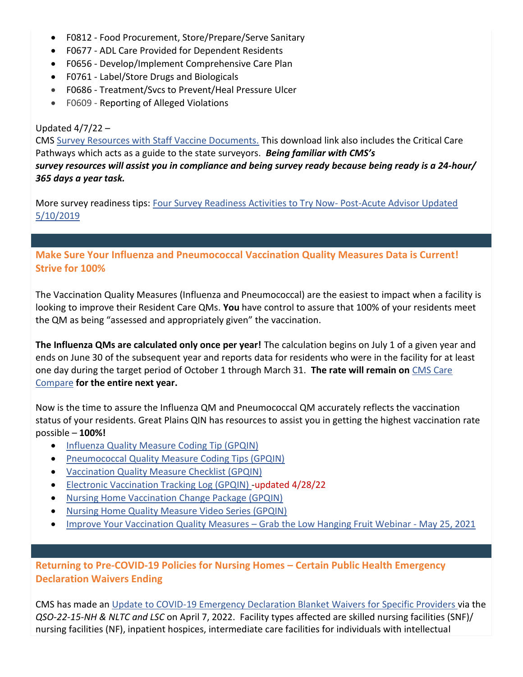- F0812 Food Procurement, Store/Prepare/Serve Sanitary
- F0677 ADL Care Provided for Dependent Residents
- F0656 Develop/Implement Comprehensive Care Plan
- F0761 Label/Store Drugs and Biologicals
- F0686 Treatment/Svcs to Prevent/Heal Pressure Ulcer
- F0609 Reporting of Alleged Violations

#### Updated  $4/7/22 -$

[CMS Survey Resources with Staff Vaccine Documents.](https://www.cms.gov/files/zip/survey-resources-staff-vaccine-documents-04072022.zip) This download link also includes the Critical Care Pathways [which acts as a guide to the state surveyors.](https://www.cms.gov/files/zip/survey-resources-staff-vaccine-documents-04072022.zip) *Being familiar with CMS's survey resources will assist you in compliance and being survey ready because being ready is a 24-hour/ 365 days a year task.* 

More survey readiness tips: [Four Survey Readiness Activities to Try Now-](https://postacuteadvisor.blr.com/2017/10/09/four-survey-readiness-activities-to-try-now/) Post-Acute Advisor Updated [5/10/2019](https://postacuteadvisor.blr.com/2017/10/09/four-survey-readiness-activities-to-try-now/)

# **Make Sure Your Influenza and Pneumococcal Vaccination Quality Measures Data is Current! Strive for 100%**

The Vaccination Quality Measures (Influenza and Pneumococcal) are the easiest to impact when a facility is looking to improve their Resident Care QMs. **You** have control to assure that 100% of your residents meet the QM as being "assessed and appropriately given" the vaccination.

**The Influenza QMs are calculated only once per year!** The calculation begins on July 1 of a given year and ends on June 30 of the subsequent year and reports data for residents who were in the facility for at least one day during the target period of October 1 through March 31. **The rate will remain on** [CMS Care](https://www.medicare.gov/care-compare/)  [Compare](https://www.medicare.gov/care-compare/) **for the entire next year.**

Now is the time to assure the Influenza QM and Pneumococcal QM accurately reflects the vaccination status of your residents. Great Plains QIN has resources to assist you in getting the highest vaccination rate possible – **100%!**

- [Influenza Quality Measure Coding Tip \(GPQIN\)](https://greatplainsqin.org/wp-content/uploads/2021/02/Great-Plains-QIN-Influenza-Quality-Measure-MDS-Coding-Tips-1.pdf)
- [Pneumococcal Quality Measure Coding Tips \(GPQIN\)](https://greatplainsqin.org/wp-content/uploads/2021/02/Great-Plains-QIN-Pneumococcal-Quality-Measure-MDS-Coding-Tips.pdf)
- [Vaccination Quality Measure Checklist \(GPQIN\)](https://greatplainsqin.org/wp-content/uploads/2021/03/Great-Plains-QIN-Vaccination-Quality-Measure-Checklist-2021-1.pdf)
- [Electronic Vaccination Tracking Log \(GPQIN\)](https://greatplainsqin.org/wp-content/uploads/2021/03/GPQIN-Electronic-Vaccination-Log-Updated-Dec-2021-FINAL.xlsx) -updated 4/28/22
- [Nursing Home Vaccination Change Package \(GPQIN\)](https://greatplainsqin.org/wp-content/uploads/2021/12/Great-Plains-QIN-Change-Package-Vaccination-December-21-Update.pdf)
- [Nursing Home Quality Measure Video Series \(GPQIN\)](https://greatplainsqin.org/initiatives/nursing-home-quality/nursing-home-quality-measure-video-series/)
- [Improve Your Vaccination Quality Measures](https://events.greatplainsqin.org/event/68548884)  Grab the Low Hanging Fruit Webinar May 25, 2021

# **Returning to Pre-COVID-19 Policies for Nursing Homes – Certain Public Health Emergency Declaration Waivers Ending**

CMS has made an [Update to COVID-19 Emergency Declaration Blanket Waivers for Specific Providers v](https://www.cms.gov/files/document/qso-22-15-nh-nltc-lsc.pdf)ia the *QSO-22-15-NH & NLTC and LSC* on April 7, 2022. Facility types affected are skilled nursing facilities (SNF)/ nursing facilities (NF), inpatient hospices, intermediate care facilities for individuals with intellectual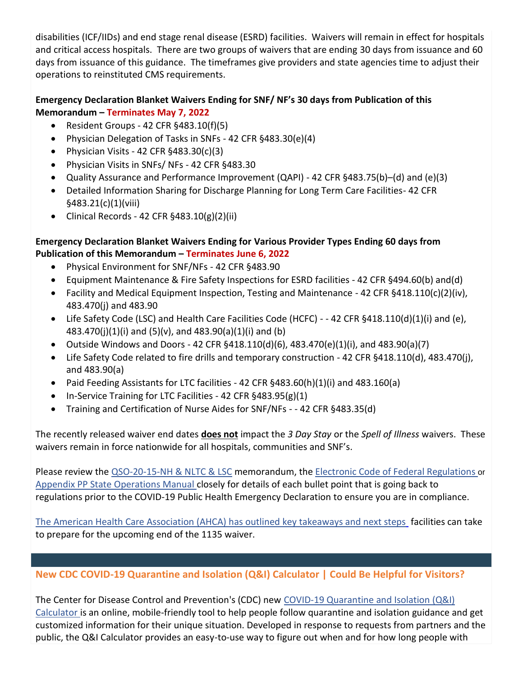disabilities (ICF/IIDs) and end stage renal disease (ESRD) facilities. Waivers will remain in effect for hospitals and critical access hospitals. There are two groups of waivers that are ending 30 days from issuance and 60 days from issuance of this guidance. The timeframes give providers and state agencies time to adjust their operations to reinstituted CMS requirements.

# **Emergency Declaration Blanket Waivers Ending for SNF/ NF's 30 days from Publication of this Memorandum – Terminates May 7, 2022**

- Resident Groups 42 CFR §483.10(f)(5)
- Physician Delegation of Tasks in SNFs 42 CFR §483.30(e)(4)
- Physician Visits 42 CFR  $§483.30(c)(3)$
- Physician Visits in SNFs/ NFs 42 CFR §483.30
- Quality Assurance and Performance Improvement (QAPI) 42 CFR §483.75(b)–(d) and (e)(3)
- Detailed Information Sharing for Discharge Planning for Long Term Care Facilities- 42 CFR §483.21(c)(1)(viii)
- Clinical Records 42 CFR  $§$ 483.10(g)(2)(ii)

# **Emergency Declaration Blanket Waivers Ending for Various Provider Types Ending 60 days from Publication of this Memorandum – Terminates June 6, 2022**

- Physical Environment for SNF/NFs 42 CFR §483.90
- Equipment Maintenance & Fire Safety Inspections for ESRD facilities 42 CFR §494.60(b) and(d)
- Facility and Medical Equipment Inspection, Testing and Maintenance 42 CFR §418.110(c)(2)(iv), 483.470(j) and 483.90
- Life Safety Code (LSC) and Health Care Facilities Code (HCFC) - 42 CFR §418.110(d)(1)(i) and (e), 483.470(j)(1)(i) and (5)(v), and 483.90(a)(1)(i) and (b)
- Outside Windows and Doors 42 CFR  $§418.110(d)(6)$ , 483.470(e)(1)(i), and 483.90(a)(7)
- Life Safety Code related to fire drills and temporary construction 42 CFR §418.110(d), 483.470(j), and 483.90(a)
- Paid Feeding Assistants for LTC facilities 42 CFR §483.60(h)(1)(i) and 483.160(a)
- In-Service Training for LTC Facilities 42 CFR §483.95(g)(1)
- Training and Certification of Nurse Aides for SNF/NFs - 42 CFR §483.35(d)

The recently released waiver end dates **does not** impact the *3 Day Stay* or the *Spell of Illness* waivers. These waivers remain in force nationwide for all hospitals, communities and SNF's.

Please review the [QSO-20-15-NH & NLTC & LSC](https://www.cms.gov/files/document/qso-22-15-nh-nltc-lsc.pdf) memorandum, the [Electronic Code of Federal Regulations](http://www.ecfr.gov/cgi-bin/text-idx?SID=f64b6edcc2b2ee52bf5de8e19a340569&mc=true&node=sp42.5.483.b&rgn=div6) or [Appendix PP State Operations Manual](https://www.cms.gov/Medicare/Provider-Enrollment-and-Certification/GuidanceforLawsAndRegulations/Downloads/Appendix-PP-State-Operations-Manual.pdf) closely for details of each bullet point that is going back to regulations prior to the COVID-19 Public Health Emergency Declaration to ensure you are in compliance.

[The American Health Care Association \(AHCA\) has outlined key takeaways and next steps](https://www.ahcancal.org/News-and-Communications/Blog/Pages/Next-Steps-for-Facilities-Using-1135-Waiver-for-Training-and-Certification-of-Nurse-Aides.aspx?cm_ven=ExactTarget&cm_cat=COVID-19+Update+%23+284&cm_pla=Marks+Memos+2022+List&cm_ite=key+takeaways+and+next+steps&cm_lm=936197894&cm_ainfo=&&&&&) facilities can take to prepare for the upcoming end of the 1135 waiver.

# **New CDC COVID-19 Quarantine and Isolation (Q&I) Calculator | Could Be Helpful for Visitors?**

The Center for Disease Control and Prevention's (CDC) new [COVID-19 Quarantine and Isolation \(Q&I\)](https://t.emailupdates.cdc.gov/r/?id=h6159e55e,1631e7fa,163655a6&e=QUNTVHJhY2tpbmdJRD1VU0NEQ18xMDUyLURNNzgzOTImQUNTVHJhY2tpbmdMYWJlbD1DT0NBJTIwTm93JTNBJTIwTmV3JTIwQ0RDJTIwQ09WSUQtMTklMjBRdWFyYW50aW5lJTIwYW5kJTIwSXNvbGF0aW9uJTIwKFElMjZJKSUyMENhbGN1bGF0b3I&s=gPkQ_edbQgZJ4iKqC09028f71FFT7f2iukPiFGOYRlw)  [Calculator](https://t.emailupdates.cdc.gov/r/?id=h6159e55e,1631e7fa,163655a6&e=QUNTVHJhY2tpbmdJRD1VU0NEQ18xMDUyLURNNzgzOTImQUNTVHJhY2tpbmdMYWJlbD1DT0NBJTIwTm93JTNBJTIwTmV3JTIwQ0RDJTIwQ09WSUQtMTklMjBRdWFyYW50aW5lJTIwYW5kJTIwSXNvbGF0aW9uJTIwKFElMjZJKSUyMENhbGN1bGF0b3I&s=gPkQ_edbQgZJ4iKqC09028f71FFT7f2iukPiFGOYRlw) is an online, mobile-friendly tool to help people follow quarantine and isolation guidance and get customized information for their unique situation. Developed in response to requests from partners and the public, the Q&I Calculator provides an easy-to-use way to figure out when and for how long people with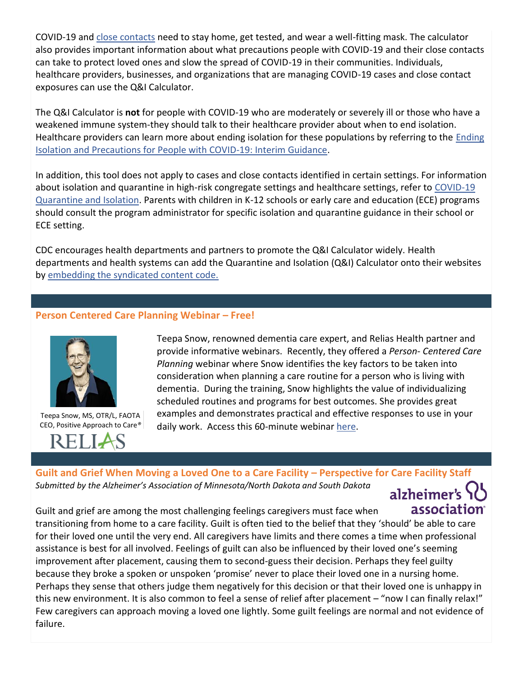COVID-19 and [close contacts](https://t.emailupdates.cdc.gov/r/?id=h6159e55e,1631e7fa,163655a7&e=QUNTVHJhY2tpbmdJRD1VU0NEQ18xMDUyLURNNzgzOTImQUNTVHJhY2tpbmdMYWJlbD1DT0NBJTIwTm93JTNBJTIwTmV3JTIwQ0RDJTIwQ09WSUQtMTklMjBRdWFyYW50aW5lJTIwYW5kJTIwSXNvbGF0aW9uJTIwKFElMjZJKSUyMENhbGN1bGF0b3I&s=ksz_b66xO765XwZDVVAqiQsON6mPNSSJrnO9v0CR-zg) need to stay home, get tested, and wear a well-fitting mask. The calculator also provides important information about what precautions people with COVID-19 and their close contacts can take to protect loved ones and slow the spread of COVID-19 in their communities. Individuals, healthcare providers, businesses, and organizations that are managing COVID-19 cases and close contact exposures can use the Q&I Calculator.

The Q&I Calculator is **not** for people with COVID-19 who are moderately or severely ill or those who have a weakened immune system-they should talk to their healthcare provider about when to end isolation. Healthcare providers can learn more about ending isolation for these populations by referring to the [Ending](https://t.emailupdates.cdc.gov/r/?id=h6159e55e,1631e7fa,163655a8&e=QUNTVHJhY2tpbmdJRD1VU0NEQ18xMDUyLURNNzgzOTImQUNTVHJhY2tpbmdMYWJlbD1DT0NBJTIwTm93JTNBJTIwTmV3JTIwQ0RDJTIwQ09WSUQtMTklMjBRdWFyYW50aW5lJTIwYW5kJTIwSXNvbGF0aW9uJTIwKFElMjZJKSUyMENhbGN1bGF0b3I&s=A2Tjo7YbAQWmSFRDyT8HvmJCWcPFGI4nnlQfzaGLce4)  [Isolation and Precautions for People with COVID-19: Interim Guidance.](https://t.emailupdates.cdc.gov/r/?id=h6159e55e,1631e7fa,163655a8&e=QUNTVHJhY2tpbmdJRD1VU0NEQ18xMDUyLURNNzgzOTImQUNTVHJhY2tpbmdMYWJlbD1DT0NBJTIwTm93JTNBJTIwTmV3JTIwQ0RDJTIwQ09WSUQtMTklMjBRdWFyYW50aW5lJTIwYW5kJTIwSXNvbGF0aW9uJTIwKFElMjZJKSUyMENhbGN1bGF0b3I&s=A2Tjo7YbAQWmSFRDyT8HvmJCWcPFGI4nnlQfzaGLce4)

In addition, this tool does not apply to cases and close contacts identified in certain settings. For information about isolation and quarantine in high-risk congregate settings and healthcare settings, refer to COVID-19 [Quarantine and Isolation.](https://t.emailupdates.cdc.gov/r/?id=h6159e55e,1631e7fa,163655a9&e=QUNTVHJhY2tpbmdJRD1VU0NEQ18xMDUyLURNNzgzOTImQUNTVHJhY2tpbmdMYWJlbD1DT0NBJTIwTm93JTNBJTIwTmV3JTIwQ0RDJTIwQ09WSUQtMTklMjBRdWFyYW50aW5lJTIwYW5kJTIwSXNvbGF0aW9uJTIwKFElMjZJKSUyMENhbGN1bGF0b3I&s=bwCyj3RYXp3QZwvrZNxtjKh1rDCNPlb7WGj-hHKkLPw) Parents with children in K-12 schools or early care and education (ECE) programs should consult the program administrator for specific isolation and quarantine guidance in their school or ECE setting.

CDC encourages health departments and partners to promote the Q&I Calculator widely. Health departments and health systems can add the Quarantine and Isolation (Q&I) Calculator onto their websites by [embedding the syndicated content code.](https://tools.cdc.gov/medialibrary/index.aspx#/media/id/636190) 

### **Person Centered Care Planning Webinar – Free!**



Teepa Snow, MS, OTR/L, FAOTA CEO, Positive Approach to Care*®*



Teepa Snow, renowned dementia care expert, and Relias Health partner and provide informative webinars. Recently, they offered a *Person- Centered Care Planning* webinar where Snow identifies the key factors to be taken into consideration when planning a care routine for a person who is living with dementia. During the training, Snow highlights the value of individualizing scheduled routines and programs for best outcomes. She provides great examples and demonstrates practical and effective responses to use in your daily work. Access this 60-minute webinar [here.](https://www.relias.com/resource/person-centered-care-planning)

### **Guilt and Grief When Moving a Loved One to a Care Facility – Perspective for Care Facility Staff** *Submitted by the Alzheimer's Association of Minnesota/North Dakota and South Dakota*

alzheimer's association

Guilt and grief are among the most challenging feelings caregivers must face when transitioning from home to a care facility. Guilt is often tied to the belief that they 'should' be able to care for their loved one until the very end. All caregivers have limits and there comes a time when professional assistance is best for all involved. Feelings of guilt can also be influenced by their loved one's seeming improvement after placement, causing them to second-guess their decision. Perhaps they feel guilty because they broke a spoken or unspoken 'promise' never to place their loved one in a nursing home. Perhaps they sense that others judge them negatively for this decision or that their loved one is unhappy in this new environment. It is also common to feel a sense of relief after placement – "now I can finally relax!" Few caregivers can approach moving a loved one lightly. Some guilt feelings are normal and not evidence of failure.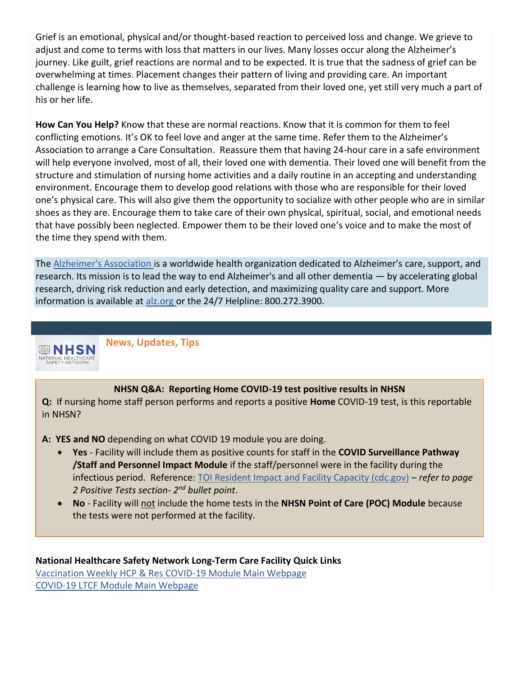Grief is an emotional, physical and/or thought-based reaction to perceived loss and change. We grieve to adjust and come to terms with loss that matters in our lives. Many losses occur along the Alzheimer's journey. Like guilt, grief reactions are normal and to be expected. It is true that the sadness of grief can be overwhelming at times. Placement changes their pattern of living and providing care. An important challenge is learning how to live as themselves, separated from their loved one, yet still very much a part of his or her life.

**How Can You Help?** Know that these are normal reactions. Know that it is common for them to feel conflicting emotions. It's OK to feel love and anger at the same time. Refer them to the Alzheimer's Association to arrange a Care Consultation. Reassure them that having 24-hour care in a safe environment will help everyone involved, most of all, their loved one with dementia. Their loved one will benefit from the structure and stimulation of nursing home activities and a daily routine in an accepting and understanding environment. Encourage them to develop good relations with those who are responsible for their loved one's physical care. This will also give them the opportunity to socialize with other people who are in similar shoes as they are. Encourage them to take care of their own physical, spiritual, social, and emotional needs that have possibly been neglected. Empower them to be their loved one's voice and to make the most of the time they spend with them.

The [Alzheimer's Association](http://www.alz.org/) is a worldwide health organization dedicated to Alzheimer's care, support, and research. Its mission is to lead the way to end Alzheimer's and all other dementia — by accelerating global research, driving risk reduction and early detection, and maximizing quality care and support. More informa[t](http://www.alz.org/)ion is available at [alz.org](http://www.alz.org/) or the 24/7 Helpline: 800.272.3900.



**News, Updates, Tips** 

#### **NHSN Q&A: Reporting Home COVID-19 test positive results in NHSN**

**Q:** If nursing home staff person performs and reports a positive **Home** COVID-19 test, is this reportable in NHSN?

**A: YES and NO** depending on what COVID 19 module you are doing.

- **Yes**  Facility will include them as positive counts for staff in the **COVID Surveillance Pathway /Staff and Personnel Impact Module** if the staff/personnel were in the facility during the infectious period. Reference: [TOI Resident Impact and Facility Capacity \(cdc.gov\)](https://www.cdc.gov/nhsn/pdfs/covid19/ltcf/57.145-toi-508.pdf) *– refer to page 2 Positive Tests section- 2 nd bullet point*.
- **No** Facility will not include the home tests in the **NHSN Point of Care (POC) Module** because the tests were not performed at the facility.

**National Healthcare Safety Network Long-Term Care Facility Quick Links** [Vaccination Weekly HCP & Res COVID-19 Module Main Webpage](https://www.cdc.gov/nhsn/ltc/weekly-covid-vac/index.html) [COVID-19 LTCF Module Main Webpage](https://www.cdc.gov/nhsn/ltc/covid19/index.html)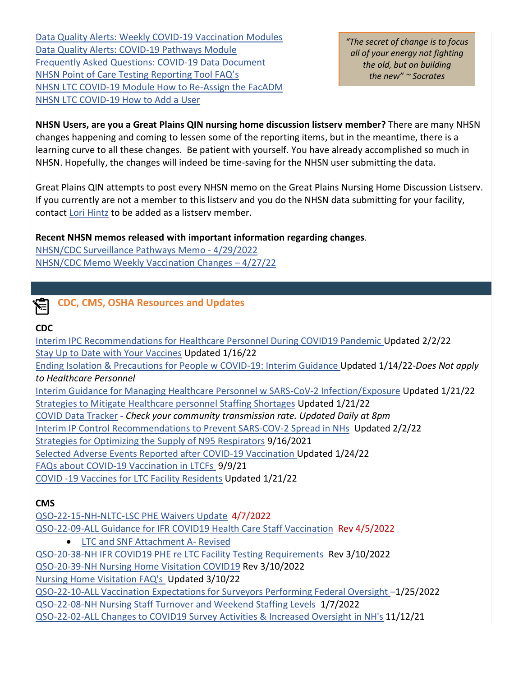[Data Quality Alerts: Weekly COVID-19 Vaccination Modules](https://www.cdc.gov/nhsn/pdfs/hps/covidvax/dq-alerts-508.pdf)  [Data Quality Alerts: COVID-19 Pathways Module](https://www.cdc.gov/nhsn/pdfs/covid19/ltcf/data-alerts-508.pdf) [Frequently Asked Questions: COVID-19 Data Document](https://www.cdc.gov/nhsn/pdfs/covid19/ltcf/faq-cms-datarelease-508.pdf) NHSN Point of Care Tes[ting Reporting Tool FAQ's](https://www.cdc.gov/nhsn/pdfs/covid19/ltcf/ltcf-poc-faq-508.pdf)  [NHSN LTC COVID-19 Module How to Re-Assign the FacADM](https://www.cdc.gov/nhsn/pdfs/covid19/ltcf/reassign-fa-508.pdf)  [NHSN LTC COVID-19 How to Add a User](https://www.cdc.gov/nhsn/pdfs/covid19/ltcf/add-user-508.pdf)

*"The secret of change is to focus all of your energy not fighting the old, but on building the new" ~ Socrates*

**NHSN Users, are you a Great Plains QIN nursing home discussion listserv member?** There are many NHSN changes happening and coming to lessen some of the reporting items, but in the meantime, there is a learning curve to all these changes. Be patient with yourself. You have already accomplished so much in NHSN. Hopefully, the changes will indeed be time-saving for the NHSN user submitting the data.

Great Plains QIN attempts to post every NHSN memo on the Great Plains Nursing Home Discussion Listserv. If you currently are not a member to this listserv and you do the NHSN data submitting for your facility, contact [Lori Hintz](mailto:lori.hintz@greatplainsqin.org) to be added as a listserv member.

### **Recent NHSN memos released with important information regarding changes**.

[NHSN/CDC Surveillance Pathways Memo -](https://greatplainsqin.org/wp-content/uploads/2022/04/NHSN-CDC-Surveillance-Pathways-Memo-4-29-2022.pdf) 4/29/2022 [NHSN/CDC Memo Weekly Vaccination Changes](https://greatplainsqin.org/wp-content/uploads/2022/04/NHSN-CDC-Memo-Weekly-Vaccination-Changes-–-4-27-22.pdf) – 4/27/22

# **CDC, CMS, OSHA Resources and Updates**

#### **CDC**

[Interim IPC Recommendations for Healthcare Personnel During COVID19 Pandemic](https://www.cdc.gov/coronavirus/2019-ncov/hcp/infection-control-recommendations.html?_cldee=bG9yaS5oaW50ekBncmVhdHBsYWluc3Fpbi5vcmc%3d&recipientid=contact-7ebafa992220e511b1920050569142af-a89f6502c2dc4f4b8cc9fedd1c522ec2&esid=037c6955-0585-ec11-80fd-000d3a0f728a) Updated 2/2/22 [Stay Up to Date with](https://www.cdc.gov/coronavirus/2019-ncov/vaccines/stay-up-to-date.html?CDC_AA_refVal=https%3A%2F%2Fwww.cdc.gov%2Fcoronavirus%2F2019-ncov%2Fvaccines%2Ffully-vaccinated.html) Your Vaccines Updated 1/16/22 [Ending Isolation & Precautions for People w COVID-19: Interim Guidance Updated 1/14/22-](https://www.cdc.gov/coronavirus/2019-ncov/hcp/duration-isolation.html)*Does Not apply to Healthcare Personnel* [Interim Guidance for Managing Healthcare Personnel w SARS-CoV-2 Infection/Exposure](https://www.cdc.gov/coronavirus/2019-ncov/hcp/guidance-risk-assesment-hcp.html) Updated 1/21/22 [Strategies to Mitigate Healthcare personnel Staffing Shortages](https://www.cdc.gov/coronavirus/2019-ncov/hcp/mitigating-staff-shortages.html) Updated 1/21/22 COVID Data Tracker - *Check your [community transmission rate. Updated Daily at 8pm](https://covid.cdc.gov/covid-data-tracker/#datatracker-home)* Interim IP Control Recommendations [to Prevent SARS-COV-2 Spread in NHs](https://www.cdc.gov/coronavirus/2019-ncov/hcp/long-term-care.html#anchor_1631030962190) Updated 2/2/22 [Strategies for Optimizing the Supply of N95 Respirators](https://www.cdc.gov/coronavirus/2019-ncov/hcp/respirators-strategy/index.html) 9/16/2021 [Selected Adverse Events Reported after COVID-19 Vaccination](https://www.cdc.gov/coronavirus/2019-ncov/vaccines/safety/adverse-events.html) Updated 1/24/22 [FAQs about COVID-19 Vaccination in LTCFs](https://www.cdc.gov/vaccines/covid-19/toolkits/long-term-care/faqs.html) 9/9/21 [COVID -19 Vaccines for LTC Facility Residents](https://www.cdc.gov/coronavirus/2019-ncov/vaccines/recommendations/LTCF-residents.html?CDC_AA_refVal=https%3A%2F%2Fwww.cdc.gov%2Fvaccines%2Fcovid-19%2Ftoolkits%2Flong-term-care%2Findex.html) Updated 1/21/22

#### **CMS**

[QSO-22-15-NH-NLTC-LSC PHE Waivers Update](https://www.cms.gov/files/document/qso-22-15-nh-nltc-lsc.pdf) 4/7/2022 [QSO-22-09-ALL Guidance for IFR COVID19 Health Care Staff Vaccination](https://www.cms.gov/files/document/qso-22-09-all-revised.pdf)Rev 4/5/2022 • [LTC and SNF Attachment A-](https://www.cms.gov/files/document/attachment.pdf?cm_ven=ExactTarget&cm_cat=COVID-19+Update+%23+282&cm_pla=Marks+Memos+2022+List&cm_ite=Long-Term+Care+and+Skilled+Nursing+Facility+Attachment+A-Revised&cm_lm=1249179772&cm_ainfo=&&&&&) Revised

[QSO-20-38-NH IFR COVID19 PHE re LTC Facility Testing Requirements](https://www.cms.gov/files/document/qso-20-38-nh-revised.pdf?_cldee=bG9yaS5oaW50ekBncmVhdHBsYWluc3Fpbi5vcmc%3d&recipientid=contact-7ebafa992220e511b1920050569142af-8c84eb64639f4ad793396db15492efd4&esid=ed8c466d-89a0-ec11-8100-000d3a0f728a) Rev 3/10/2022

[QSO-20-39-NH Nursing Home Visitation COVID19](https://www.cms.gov/files/document/qso-20-39-nh-revised.pdf) Rev 3/10/2022

[Nursing Home Visitation FAQ's](https://www.cms.gov/files/document/nursing-home-visitation-faq-1223.pdf) Updated 3/10/22

[QSO-22-10-ALL Vaccination Expectations for](https://www.cms.gov/files/document/qso-22-10-all.pdf?cm_ven=ExactTarget&cm_cat=COVID-19+Update+%23+263&cm_pla=Marks+Memos+2022+List&cm_ite=QSO-22-10-ALL&cm_lm=1249179772&cm_ainfo=&&&&&) Surveyors Performing Federal Oversight –1/25/2022

[QSO-22-08-NH Nursing Staff Turnover and Weekend Staffing Levels](https://www.cms.gov/files/document/qso-22-08-nh.pdf) 1/7/2022

[QSO-22-02-ALL Changes to COVID19 Survey Activities & Increased Oversight in NH's](https://www.cms.gov/files/document/qso-22-02-all.pdf) 11/12/21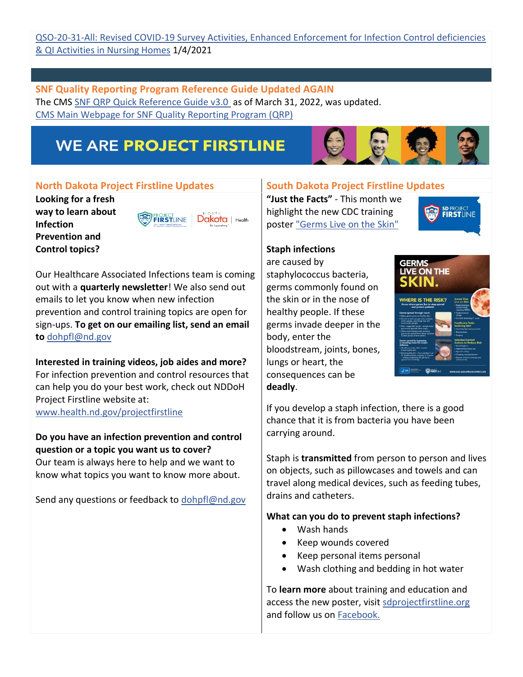#### QSO-20-31-All: Revised [COVID-19 Survey Activities, Enhanced Enforcement for Infection Control deficiencies](https://www.cms.gov/files/document/qso-20-31-all-revised.pdf)  [& QI Activities in Nursing Homes](https://www.cms.gov/files/document/qso-20-31-all-revised.pdf) 1/4/2021

**SNF Quality Reporting Program Reference Guide Updated AGAIN** The CMS [SNF QRP Quick Reference Guide v3.0](https://www.cms.gov/files/document/pac-snf-quickreferenceguide-v30.pdf) as of March 31, 2022, was updated. [CMS Main Webpage for SNF Quality Reporting Program \(QRP\)](https://www.cms.gov/Medicare/Quality-Initiatives-Patient-Assessment-Instruments/NursingHomeQualityInits/Skilled-Nursing-Facility-Quality-Reporting-Program/SNF-Quality-Reporting-Program-Data-Submission-Deadlines)

# **WE ARE PROJECT FIRSTLINE**



#### **North Dakota Project Firstline Updates | South Dakota Project Firstline Updates**

**Looking for a fresh way to learn about Infection Prevention and Control topics?**

FIRSTLINE Dakota | Health

Our Healthcare Associated Infections team is coming out with a **quarterly newsletter**! We also send out emails to let you know when new infection prevention and control training topics are open for sign-ups. **To get on our emailing list, send an email to** [dohpfl@nd.gov](mailto:dohpfl@nd.gov)

**Interested in training videos, job aides and more?** For infection prevention and control resources that can help you do your best work, check out NDDoH Project Firstline website at:

[www.health.nd.gov/projectfirstline](http://www.health.nd.gov/projectfirstline)

### **Do you have an infection prevention and control question or a topic you want us to cover?**

Our team is always here to help and we want to know what topics you want to know more about.

Send any questions or feedback to [dohpfl@nd.gov](mailto:dohpfl@nd.gov)

**"Just the Facts"** - This month we highlight the new CDC training poster ["Germs Live on the Skin"](https://www.cdc.gov/infectioncontrol/pdf/projectfirstline/Healthcare-Germs-Body-Skin-508.pdf)



# **Staph infections**

are caused by staphylococcus bacteria, germs commonly found on the skin or in the nose of healthy people. If these germs invade deeper in the body, enter the bloodstream, joints, bones, lungs or heart, the consequences can be **deadly**.



If you develop a staph infection, there is a good chance that it is from bacteria you have been carrying around.

Staph is **transmitted** from person to person and lives on objects, such as pillowcases and towels and can travel along medical devices, such as feeding tubes, drains and catheters.

#### **What can you do to prevent staph infections?**

- Wash hands
- Keep wounds covered
- Keep personal items personal
- Wash clothing and bedding in hot water

To **learn more** about training and education and access the new poster, visit [sdprojectfirstline.org](https://www.sdprojectfirstline.org/) and follow us on [Facebook.](https://www.facebook.com/SDprojectfirstline)